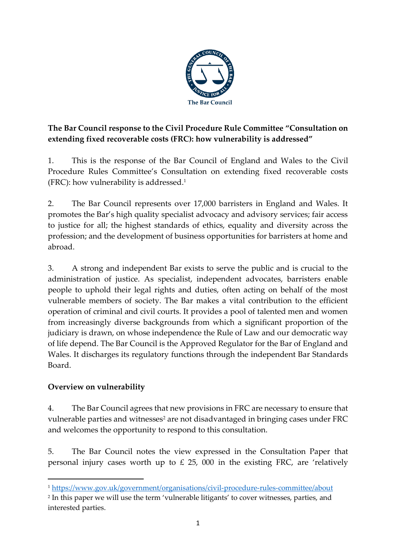

# **The Bar Council response to the Civil Procedure Rule Committee "Consultation on extending fixed recoverable costs (FRC): how vulnerability is addressed"**

1. This is the response of the Bar Council of England and Wales to the Civil Procedure Rules Committee's Consultation on extending fixed recoverable costs (FRC): how vulnerability is addressed. 1

2. The Bar Council represents over 17,000 barristers in England and Wales. It promotes the Bar's high quality specialist advocacy and advisory services; fair access to justice for all; the highest standards of ethics, equality and diversity across the profession; and the development of business opportunities for barristers at home and abroad.

3. A strong and independent Bar exists to serve the public and is crucial to the administration of justice. As specialist, independent advocates, barristers enable people to uphold their legal rights and duties, often acting on behalf of the most vulnerable members of society. The Bar makes a vital contribution to the efficient operation of criminal and civil courts. It provides a pool of talented men and women from increasingly diverse backgrounds from which a significant proportion of the judiciary is drawn, on whose independence the Rule of Law and our democratic way of life depend. The Bar Council is the Approved Regulator for the Bar of England and Wales. It discharges its regulatory functions through the independent Bar Standards Board.

# **Overview on vulnerability**

4. The Bar Council agrees that new provisions in FRC are necessary to ensure that vulnerable parties and witnesses<sup>2</sup> are not disadvantaged in bringing cases under FRC and welcomes the opportunity to respond to this consultation.

5. The Bar Council notes the view expressed in the Consultation Paper that personal injury cases worth up to  $\text{\pounds}$  25, 000 in the existing FRC, are 'relatively

<sup>1</sup> <https://www.gov.uk/government/organisations/civil-procedure-rules-committee/about>

<sup>2</sup> In this paper we will use the term 'vulnerable litigants' to cover witnesses, parties, and interested parties.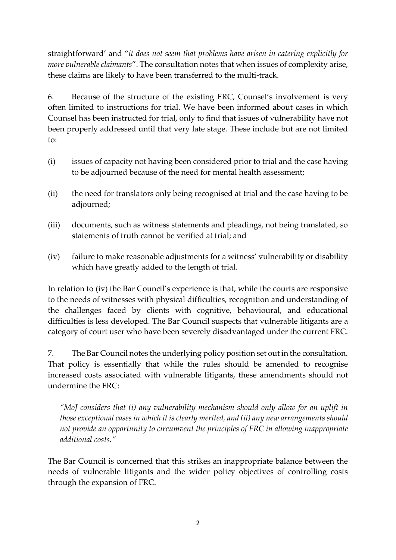straightforward' and "*it does not seem that problems have arisen in catering explicitly for more vulnerable claimants*". The consultation notes that when issues of complexity arise, these claims are likely to have been transferred to the multi-track.

6. Because of the structure of the existing FRC, Counsel's involvement is very often limited to instructions for trial. We have been informed about cases in which Counsel has been instructed for trial, only to find that issues of vulnerability have not been properly addressed until that very late stage. These include but are not limited to:

- (i) issues of capacity not having been considered prior to trial and the case having to be adjourned because of the need for mental health assessment;
- (ii) the need for translators only being recognised at trial and the case having to be adjourned;
- (iii) documents, such as witness statements and pleadings, not being translated, so statements of truth cannot be verified at trial; and
- (iv) failure to make reasonable adjustments for a witness' vulnerability or disability which have greatly added to the length of trial.

In relation to (iv) the Bar Council's experience is that, while the courts are responsive to the needs of witnesses with physical difficulties, recognition and understanding of the challenges faced by clients with cognitive, behavioural, and educational difficulties is less developed. The Bar Council suspects that vulnerable litigants are a category of court user who have been severely disadvantaged under the current FRC.

7. The Bar Council notes the underlying policy position set out in the consultation. That policy is essentially that while the rules should be amended to recognise increased costs associated with vulnerable litigants, these amendments should not undermine the FRC:

*"MoJ considers that (i) any vulnerability mechanism should only allow for an uplift in those exceptional cases in which it is clearly merited, and (ii) any new arrangements should not provide an opportunity to circumvent the principles of FRC in allowing inappropriate additional costs."*

The Bar Council is concerned that this strikes an inappropriate balance between the needs of vulnerable litigants and the wider policy objectives of controlling costs through the expansion of FRC.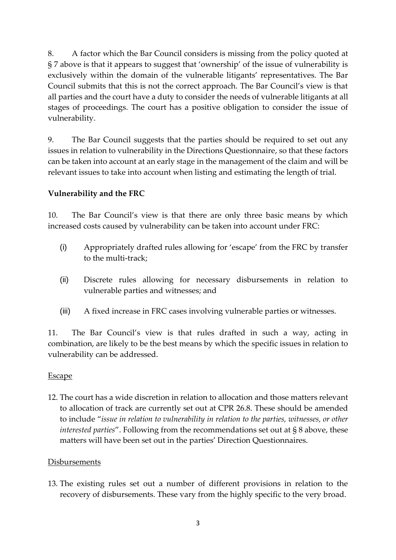8. A factor which the Bar Council considers is missing from the policy quoted at § 7 above is that it appears to suggest that 'ownership' of the issue of vulnerability is exclusively within the domain of the vulnerable litigants' representatives. The Bar Council submits that this is not the correct approach. The Bar Council's view is that all parties and the court have a duty to consider the needs of vulnerable litigants at all stages of proceedings. The court has a positive obligation to consider the issue of vulnerability.

9. The Bar Council suggests that the parties should be required to set out any issues in relation to vulnerability in the Directions Questionnaire, so that these factors can be taken into account at an early stage in the management of the claim and will be relevant issues to take into account when listing and estimating the length of trial.

# **Vulnerability and the FRC**

10. The Bar Council's view is that there are only three basic means by which increased costs caused by vulnerability can be taken into account under FRC:

- (i) Appropriately drafted rules allowing for 'escape' from the FRC by transfer to the multi-track;
- (ii) Discrete rules allowing for necessary disbursements in relation to vulnerable parties and witnesses; and
- (iii) A fixed increase in FRC cases involving vulnerable parties or witnesses.

11. The Bar Council's view is that rules drafted in such a way, acting in combination, are likely to be the best means by which the specific issues in relation to vulnerability can be addressed.

### Escape

12. The court has a wide discretion in relation to allocation and those matters relevant to allocation of track are currently set out at CPR 26.8. These should be amended to include "*issue in relation to vulnerability in relation to the parties, witnesses, or other interested parties*". Following from the recommendations set out at § 8 above, these matters will have been set out in the parties' Direction Questionnaires.

### **Disbursements**

13. The existing rules set out a number of different provisions in relation to the recovery of disbursements. These vary from the highly specific to the very broad.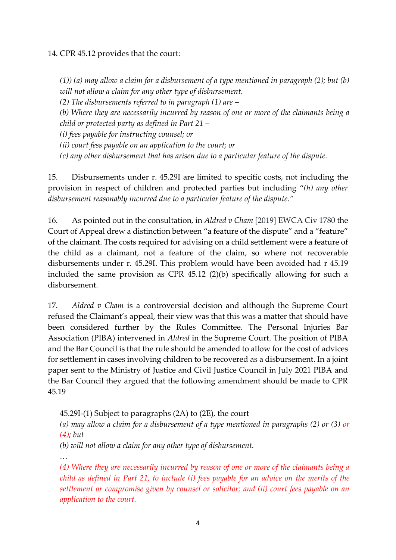14. CPR 45.12 provides that the court:

*(1)) (a) may allow a claim for a disbursement of a type mentioned in paragraph (2); but (b) will not allow a claim for any other type of disbursement.*

*(2) The disbursements referred to in paragraph (1) are –*

*(b) Where they are necessarily incurred by reason of one or more of the claimants being a child or protected party as defined in Part 21 –*

*(i) fees payable for instructing counsel; or*

*(ii) court fess payable on an application to the court; or* 

*(c) any other disbursement that has arisen due to a particular feature of the dispute.*

15. Disbursements under r. 45.29I are limited to specific costs, not including the provision in respect of children and protected parties but including "*(h) any other disbursement reasonably incurred due to a particular feature of the dispute."*

16. As pointed out in the consultation, in *Aldred v Cham* [2019] EWCA Civ 1780 the Court of Appeal drew a distinction between "a feature of the dispute" and a "feature" of the claimant. The costs required for advising on a child settlement were a feature of the child as a claimant, not a feature of the claim, so where not recoverable disbursements under r. 45.29I. This problem would have been avoided had r 45.19 included the same provision as CPR 45.12 (2)(b) specifically allowing for such a disbursement.

17. *Aldred v Cham* is a controversial decision and although the Supreme Court refused the Claimant's appeal, their view was that this was a matter that should have been considered further by the Rules Committee. The Personal Injuries Bar Association (PIBA) intervened in *Aldred* in the Supreme Court. The position of PIBA and the Bar Council is that the rule should be amended to allow for the cost of advices for settlement in cases involving children to be recovered as a disbursement. In a joint paper sent to the Ministry of Justice and Civil Justice Council in July 2021 PIBA and the Bar Council they argued that the following amendment should be made to CPR 45.19

45.29I-(1) Subject to paragraphs (2A) to (2E), the court

*(a) may allow a claim for a disbursement of a type mentioned in paragraphs (2) or (3) or (4); but*

*(b) will not allow a claim for any other type of disbursement.*

*…*

*(4) Where they are necessarily incurred by reason of one or more of the claimants being a child as defined in Part 21, to include (i) fees payable for an advice on the merits of the settlement or compromise given by counsel or solicitor; and (ii) court fees payable on an application to the court.*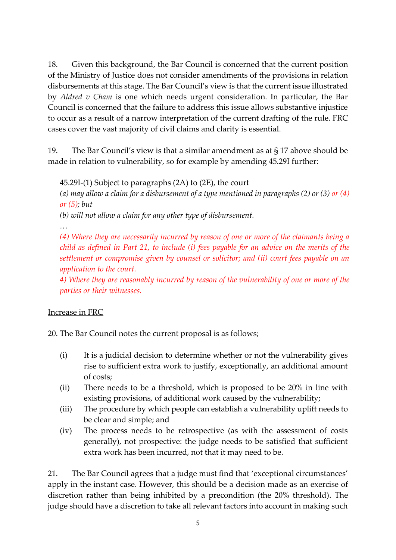18. Given this background, the Bar Council is concerned that the current position of the Ministry of Justice does not consider amendments of the provisions in relation disbursements at this stage. The Bar Council's view is that the current issue illustrated by *Aldred v Cham* is one which needs urgent consideration. In particular, the Bar Council is concerned that the failure to address this issue allows substantive injustice to occur as a result of a narrow interpretation of the current drafting of the rule. FRC cases cover the vast majority of civil claims and clarity is essential.

19. The Bar Council's view is that a similar amendment as at § 17 above should be made in relation to vulnerability, so for example by amending 45.29I further:

45.29I-(1) Subject to paragraphs (2A) to (2E), the court

*(a) may allow a claim for a disbursement of a type mentioned in paragraphs (2) or (3) or (4) or (5); but*

*(b) will not allow a claim for any other type of disbursement.*

*…*

*(4) Where they are necessarily incurred by reason of one or more of the claimants being a child as defined in Part 21, to include (i) fees payable for an advice on the merits of the settlement or compromise given by counsel or solicitor; and (ii) court fees payable on an application to the court.*

*4) Where they are reasonably incurred by reason of the vulnerability of one or more of the parties or their witnesses.*

# Increase in FRC

20. The Bar Council notes the current proposal is as follows;

- (i) It is a judicial decision to determine whether or not the vulnerability gives rise to sufficient extra work to justify, exceptionally, an additional amount of costs;
- (ii) There needs to be a threshold, which is proposed to be 20% in line with existing provisions, of additional work caused by the vulnerability;
- (iii) The procedure by which people can establish a vulnerability uplift needs to be clear and simple; and
- (iv) The process needs to be retrospective (as with the assessment of costs generally), not prospective: the judge needs to be satisfied that sufficient extra work has been incurred, not that it may need to be.

21. The Bar Council agrees that a judge must find that 'exceptional circumstances' apply in the instant case. However, this should be a decision made as an exercise of discretion rather than being inhibited by a precondition (the 20% threshold). The judge should have a discretion to take all relevant factors into account in making such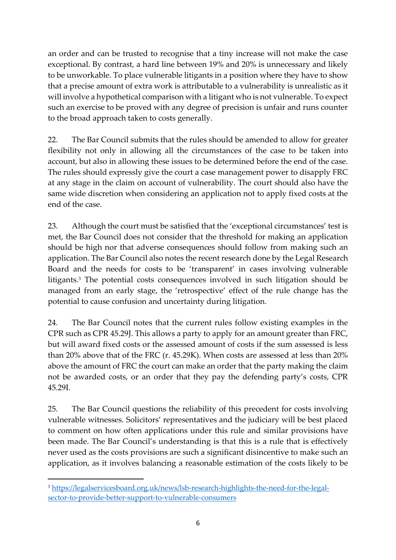an order and can be trusted to recognise that a tiny increase will not make the case exceptional. By contrast, a hard line between 19% and 20% is unnecessary and likely to be unworkable. To place vulnerable litigants in a position where they have to show that a precise amount of extra work is attributable to a vulnerability is unrealistic as it will involve a hypothetical comparison with a litigant who is not vulnerable. To expect such an exercise to be proved with any degree of precision is unfair and runs counter to the broad approach taken to costs generally.

22. The Bar Council submits that the rules should be amended to allow for greater flexibility not only in allowing all the circumstances of the case to be taken into account, but also in allowing these issues to be determined before the end of the case. The rules should expressly give the court a case management power to disapply FRC at any stage in the claim on account of vulnerability. The court should also have the same wide discretion when considering an application not to apply fixed costs at the end of the case.

23. Although the court must be satisfied that the 'exceptional circumstances' test is met, the Bar Council does not consider that the threshold for making an application should be high nor that adverse consequences should follow from making such an application. The Bar Council also notes the recent research done by the Legal Research Board and the needs for costs to be 'transparent' in cases involving vulnerable litigants.<sup>3</sup> The potential costs consequences involved in such litigation should be managed from an early stage, the 'retrospective' effect of the rule change has the potential to cause confusion and uncertainty during litigation.

24. The Bar Council notes that the current rules follow existing examples in the CPR such as CPR 45.29J. This allows a party to apply for an amount greater than FRC, but will award fixed costs or the assessed amount of costs if the sum assessed is less than 20% above that of the FRC (r. 45.29K). When costs are assessed at less than 20% above the amount of FRC the court can make an order that the party making the claim not be awarded costs, or an order that they pay the defending party's costs, CPR 45.29I.

25. The Bar Council questions the reliability of this precedent for costs involving vulnerable witnesses. Solicitors' representatives and the judiciary will be best placed to comment on how often applications under this rule and similar provisions have been made. The Bar Council's understanding is that this is a rule that is effectively never used as the costs provisions are such a significant disincentive to make such an application, as it involves balancing a reasonable estimation of the costs likely to be

<sup>3</sup> [https://legalservicesboard.org.uk/news/lsb-research-highlights-the-need-for-the-legal](https://legalservicesboard.org.uk/news/lsb-research-highlights-the-need-for-the-legal-sector-to-provide-better-support-to-vulnerable-consumers)[sector-to-provide-better-support-to-vulnerable-consumers](https://legalservicesboard.org.uk/news/lsb-research-highlights-the-need-for-the-legal-sector-to-provide-better-support-to-vulnerable-consumers)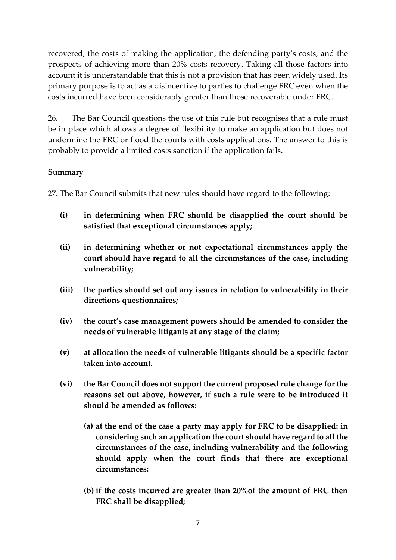recovered, the costs of making the application, the defending party's costs, and the prospects of achieving more than 20% costs recovery. Taking all those factors into account it is understandable that this is not a provision that has been widely used. Its primary purpose is to act as a disincentive to parties to challenge FRC even when the costs incurred have been considerably greater than those recoverable under FRC.

26. The Bar Council questions the use of this rule but recognises that a rule must be in place which allows a degree of flexibility to make an application but does not undermine the FRC or flood the courts with costs applications. The answer to this is probably to provide a limited costs sanction if the application fails.

## **Summary**

27. The Bar Council submits that new rules should have regard to the following:

- **(i) in determining when FRC should be disapplied the court should be satisfied that exceptional circumstances apply;**
- **(ii) in determining whether or not expectational circumstances apply the court should have regard to all the circumstances of the case, including vulnerability;**
- **(iii) the parties should set out any issues in relation to vulnerability in their directions questionnaires;**
- **(iv) the court's case management powers should be amended to consider the needs of vulnerable litigants at any stage of the claim;**
- **(v) at allocation the needs of vulnerable litigants should be a specific factor taken into account.**
- **(vi) the Bar Council does not support the current proposed rule change for the reasons set out above, however, if such a rule were to be introduced it should be amended as follows:**
	- **(a) at the end of the case a party may apply for FRC to be disapplied: in considering such an application the court should have regard to all the circumstances of the case, including vulnerability and the following should apply when the court finds that there are exceptional circumstances:**
	- **(b) if the costs incurred are greater than 20%of the amount of FRC then FRC shall be disapplied;**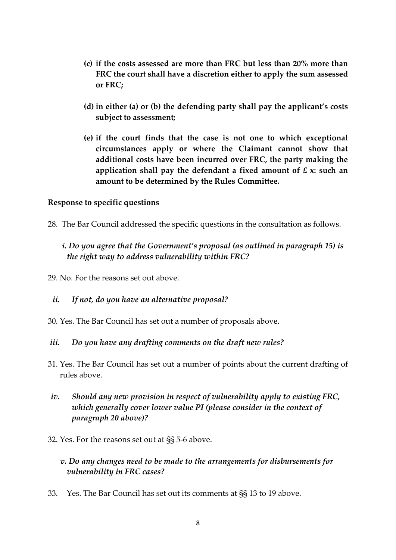- **(c) if the costs assessed are more than FRC but less than 20% more than FRC the court shall have a discretion either to apply the sum assessed or FRC;**
- **(d) in either (a) or (b) the defending party shall pay the applicant's costs subject to assessment;**
- **(e) if the court finds that the case is not one to which exceptional circumstances apply or where the Claimant cannot show that additional costs have been incurred over FRC, the party making the application shall pay the defendant a fixed amount of £ x: such an amount to be determined by the Rules Committee.**

### **Response to specific questions**

28. The Bar Council addressed the specific questions in the consultation as follows.

## *i. Do you agree that the Government's proposal (as outlined in paragraph 15) is the right way to address vulnerability within FRC?*

29. No. For the reasons set out above.

### *ii. If not, do you have an alternative proposal?*

30. Yes. The Bar Council has set out a number of proposals above.

#### *iii. Do you have any drafting comments on the draft new rules?*

- 31. Yes. The Bar Council has set out a number of points about the current drafting of rules above.
- *iv. Should any new provision in respect of vulnerability apply to existing FRC, which generally cover lower value PI (please consider in the context of paragraph 20 above)?*
- 32. Yes. For the reasons set out at §§ 5-6 above.

## *v. Do any changes need to be made to the arrangements for disbursements for vulnerability in FRC cases?*

33. Yes. The Bar Council has set out its comments at §§ 13 to 19 above.